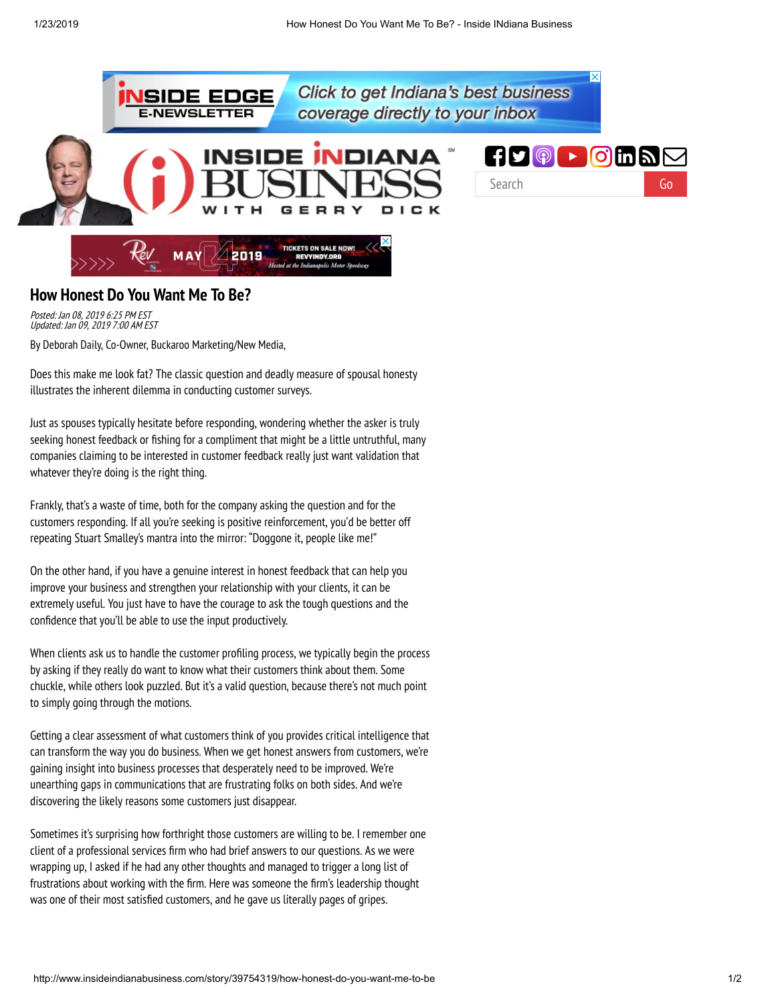

## **How Honest Do You Want Me To Be?**

Posted: Jan 08, 2019 6:25 PM EST Updated: Jan 09, 2019 7:00 AM EST

By Deborah Daily, Co-Owner, Buckaroo Marketing/New Media,

Does this make me look fat? The classic question and deadly measure of spousal honesty illustrates the inherent dilemma in conducting customer surveys.

Just as spouses typically hesitate before responding, wondering whether the asker is truly seeking honest feedback or fishing for a compliment that might be a little untruthful, many companies claiming to be interested in customer feedback really just want validation that whatever they're doing is the right thing.

Frankly, that's a waste of time, both for the company asking the question and for the customers responding. If all you're seeking is positive reinforcement, you'd be better off repeating Stuart Smalley's mantra into the mirror: "Doggone it, people like me!"

On the other hand, if you have a genuine interest in honest feedback that can help you improve your business and strengthen your relationship with your clients, it can be extremely useful. You just have to have the courage to ask the tough questions and the confidence that you'll be able to use the input productively.

When clients ask us to handle the customer profiling process, we typically begin the process by asking if they really do want to know what their customers think about them. Some chuckle, while others look puzzled. But it's a valid question, because there's not much point to simply going through the motions.

Getting a clear assessment of what customers think of you provides critical intelligence that can transform the way you do business. When we get honest answers from customers, we're gaining insight into business processes that desperately need to be improved. We're unearthing gaps in communications that are frustrating folks on both sides. And we're discovering the likely reasons some customers just disappear.

Sometimes it's surprising how forthright those customers are willing to be. I remember one client of a professional services firm who had brief answers to our questions. As we were wrapping up, I asked if he had any other thoughts and managed to trigger a long list of frustrations about working with the firm. Here was someone the firm's leadership thought was one of their most satisfied customers, and he gave us literally pages of gripes.